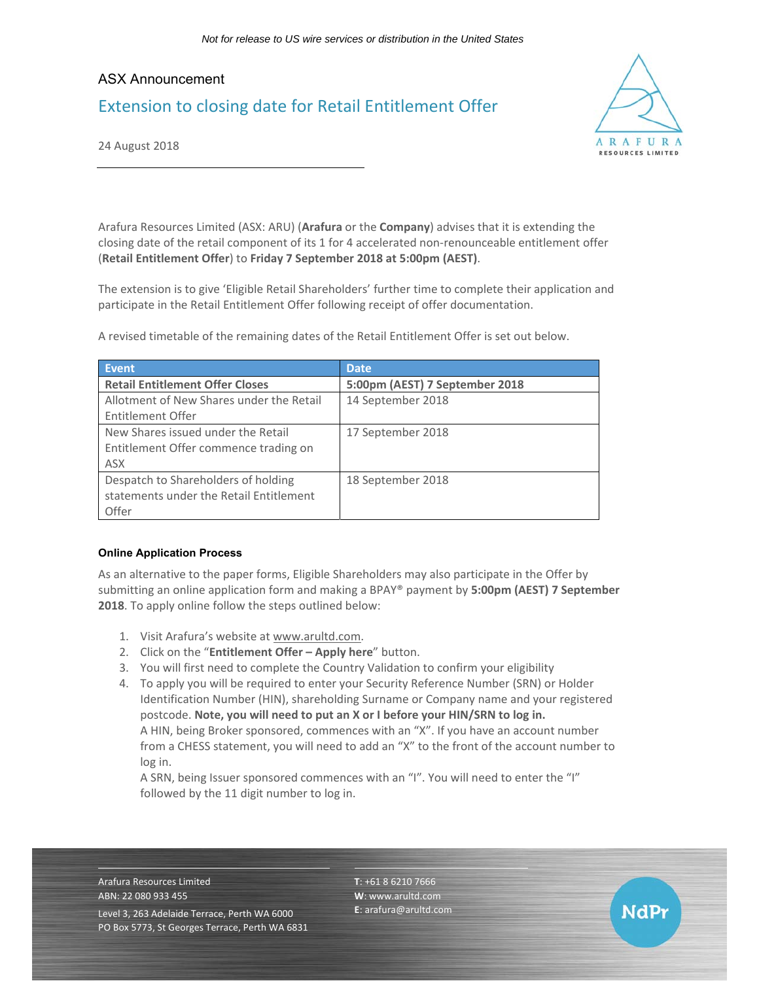# ASX Announcement Extension to closing date for Retail Entitlement Offer



NdPr

24 August 2018

Arafura Resources Limited (ASX: ARU) (**Arafura** or the **Company**) advises that it is extending the closing date of the retail component of its 1 for 4 accelerated non-renounceable entitlement offer (**Retail Entitlement Offer**) to **Friday 7 September 2018 at 5:00pm (AEST)**.

The extension is to give 'Eligible Retail Shareholders' further time to complete their application and participate in the Retail Entitlement Offer following receipt of offer documentation.

A revised timetable of the remaining dates of the Retail Entitlement Offer is set out below.

| <b>Event</b>                             | <b>Date</b>                    |
|------------------------------------------|--------------------------------|
| <b>Retail Entitlement Offer Closes</b>   | 5:00pm (AEST) 7 September 2018 |
| Allotment of New Shares under the Retail | 14 September 2018              |
| Entitlement Offer                        |                                |
| New Shares issued under the Retail       | 17 September 2018              |
| Entitlement Offer commence trading on    |                                |
| <b>ASX</b>                               |                                |
| Despatch to Shareholders of holding      | 18 September 2018              |
| statements under the Retail Entitlement  |                                |
| Offer                                    |                                |

## **Online Application Process**

As an alternative to the paper forms, Eligible Shareholders may also participate in the Offer by submitting an online application form and making a BPAY® payment by **5:00pm (AEST) 7 September 2018**. To apply online follow the steps outlined below:

- 1. Visit Arafura's website at www.arultd.com.
- 2. Click on the "**Entitlement Offer Apply here**" button.
- 3. You will first need to complete the Country Validation to confirm your eligibility
- 4. To apply you will be required to enter your Security Reference Number (SRN) or Holder Identification Number (HIN), shareholding Surname or Company name and your registered postcode. **Note, you will need to put an X or I before your HIN/SRN to log in.** A HIN, being Broker sponsored, commences with an "X". If you have an account number from a CHESS statement, you will need to add an "X" to the front of the account number to log in.

A SRN, being Issuer sponsored commences with an "I". You will need to enter the "I" followed by the 11 digit number to log in.

Arafura Resources Limited ABN: 22 080 933 455 Level 3, 263 Adelaide Terrace, Perth WA 6000 PO Box 5773, St Georges Terrace, Perth WA 6831 **T**: +61 8 6210 7666 **W**: www.arultd.com **E**: arafura@arultd.com